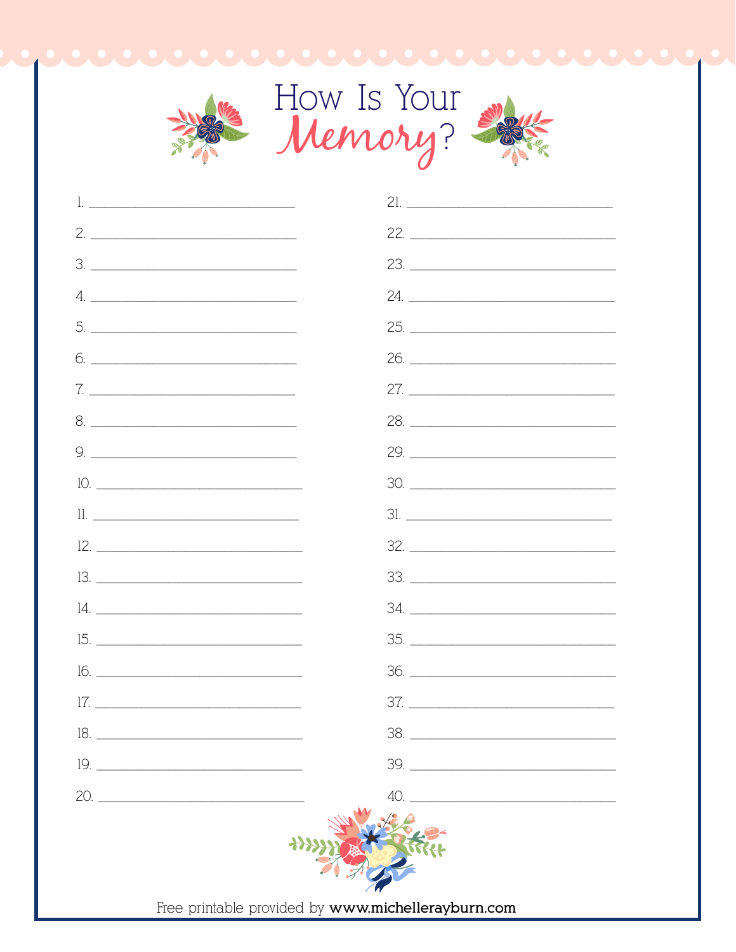

| <u>l. ___________________________________</u> |                                                    |
|-----------------------------------------------|----------------------------------------------------|
| $2. \_$                                       |                                                    |
|                                               |                                                    |
|                                               | 24.                                                |
|                                               | 25.                                                |
| $6. \underline{\hspace{1.5cm}}$               |                                                    |
|                                               |                                                    |
|                                               | 28.                                                |
|                                               |                                                    |
| $10.$                                         | 30.                                                |
|                                               |                                                    |
| $12. \_$                                      |                                                    |
| $13. \_$                                      |                                                    |
|                                               |                                                    |
|                                               |                                                    |
|                                               |                                                    |
| $17. \underline{\hspace{1.5cm}}$              |                                                    |
|                                               |                                                    |
|                                               | $\begin{tabular}{c} 39. \end{tabular}$             |
|                                               |                                                    |
|                                               | Free printable provided by www.michellerayburn.com |